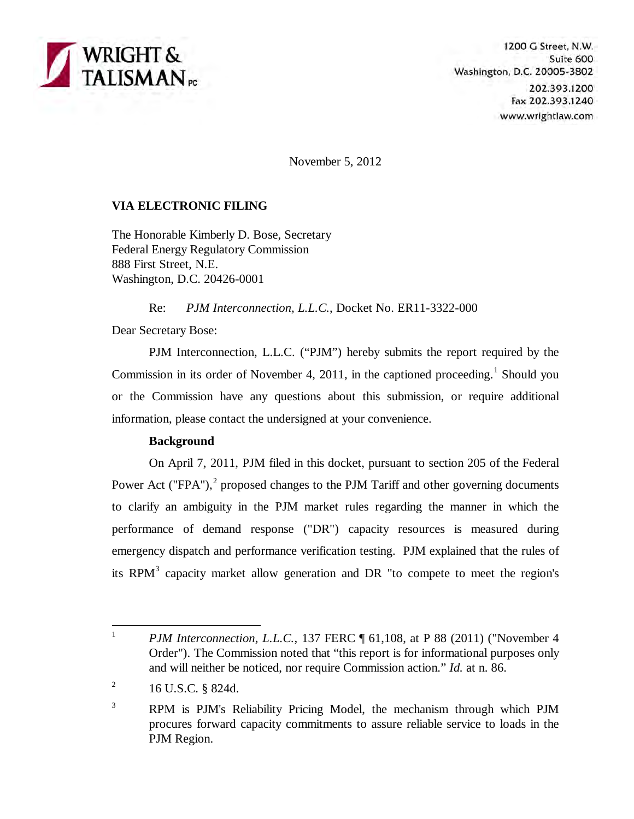

1200 G Street, N.W. Suite 600 Washington, D.C. 20005-3802 202.393.1200 Fax 202.393.1240 www.wrightlaw.com

November 5, 2012

# **VIA ELECTRONIC FILING**

The Honorable Kimberly D. Bose, Secretary Federal Energy Regulatory Commission 888 First Street, N.E. Washington, D.C. 20426-0001

Re: *PJM Interconnection, L.L.C.*, Docket No. ER11-3322-000

Dear Secretary Bose:

PJM Interconnection, L.L.C. ("PJM") hereby submits the report required by the Commission in its order of November 4, 20[1](#page-0-0)1, in the captioned proceeding.<sup>1</sup> Should you or the Commission have any questions about this submission, or require additional information, please contact the undersigned at your convenience.

## **Background**

On April 7, 2011, PJM filed in this docket, pursuant to section 205 of the Federal Power Act ("FPA"), $<sup>2</sup>$  $<sup>2</sup>$  $<sup>2</sup>$  proposed changes to the PJM Tariff and other governing documents</sup> to clarify an ambiguity in the PJM market rules regarding the manner in which the performance of demand response ("DR") capacity resources is measured during emergency dispatch and performance verification testing. PJM explained that the rules of its RPM $<sup>3</sup>$  $<sup>3</sup>$  $<sup>3</sup>$  capacity market allow generation and DR "to compete to meet the region's</sup>

<span id="page-0-0"></span> $\frac{1}{1}$ *PJM Interconnection, L.L.C., 137 FERC* ¶ 61,108, at P 88 (2011) ("November 4 Order"). The Commission noted that "this report is for informational purposes only and will neither be noticed, nor require Commission action." *Id.* at n. 86.

<span id="page-0-1"></span><sup>2</sup> 16 U.S.C. § 824d.

<span id="page-0-2"></span><sup>3</sup> RPM is PJM's Reliability Pricing Model, the mechanism through which PJM procures forward capacity commitments to assure reliable service to loads in the PJM Region.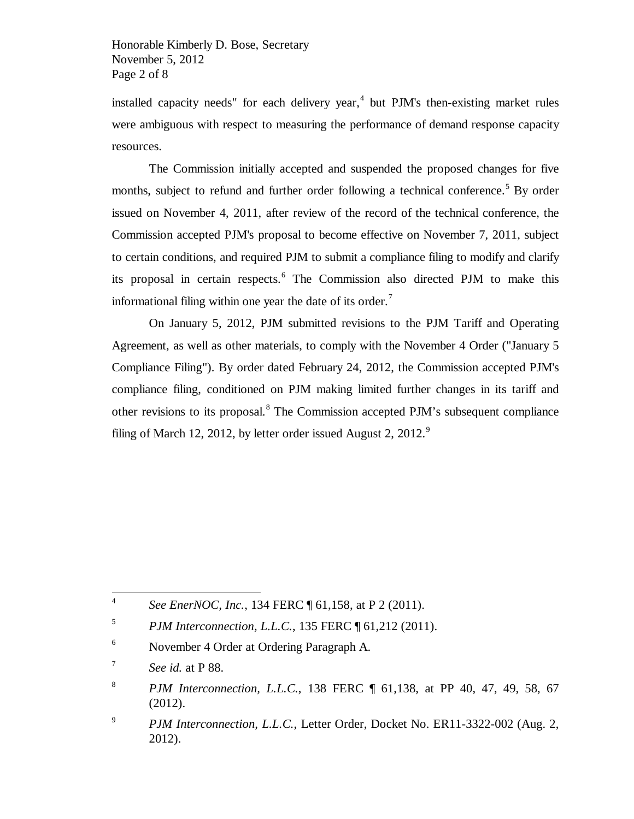installed capacity needs" for each delivery year, $<sup>4</sup>$  $<sup>4</sup>$  $<sup>4</sup>$  but PJM's then-existing market rules</sup> were ambiguous with respect to measuring the performance of demand response capacity resources.

The Commission initially accepted and suspended the proposed changes for five months, subject to refund and further order following a technical conference. [5](#page-1-1) By order issued on November 4, 2011, after review of the record of the technical conference, the Commission accepted PJM's proposal to become effective on November 7, 2011, subject to certain conditions, and required PJM to submit a compliance filing to modify and clarify its proposal in certain respects.[6](#page-1-2) The Commission also directed PJM to make this informational filing within one year the date of its order.<sup>[7](#page-1-3)</sup>

On January 5, 2012, PJM submitted revisions to the PJM Tariff and Operating Agreement, as well as other materials, to comply with the November 4 Order ("January 5 Compliance Filing"). By order dated February 24, 2012, the Commission accepted PJM's compliance filing, conditioned on PJM making limited further changes in its tariff and other revisions to its proposal.<sup>[8](#page-1-4)</sup> The Commission accepted PJM's subsequent compliance filing of March 12, 2012, by letter order issued August 2,  $2012$ .<sup>[9](#page-1-5)</sup>

 $\frac{1}{4}$ *See EnerNOC, Inc.,* 134 FERC ¶ 61,158, at P 2 (2011).

<span id="page-1-1"></span><span id="page-1-0"></span><sup>5</sup> *PJM Interconnection, L.L.C.*, 135 FERC ¶ 61,212 (2011).

<span id="page-1-2"></span><sup>6</sup> November 4 Order at Ordering Paragraph A.

<span id="page-1-3"></span><sup>7</sup> *See id.* at P 88.

<span id="page-1-4"></span><sup>8</sup> *PJM Interconnection, L.L.C., 138 FERC*  $\parallel$  61,138, at PP 40, 47, 49, 58, 67 (2012).

<span id="page-1-5"></span><sup>9</sup> *PJM Interconnection, L.L.C.*, Letter Order, Docket No. ER11-3322-002 (Aug. 2, 2012).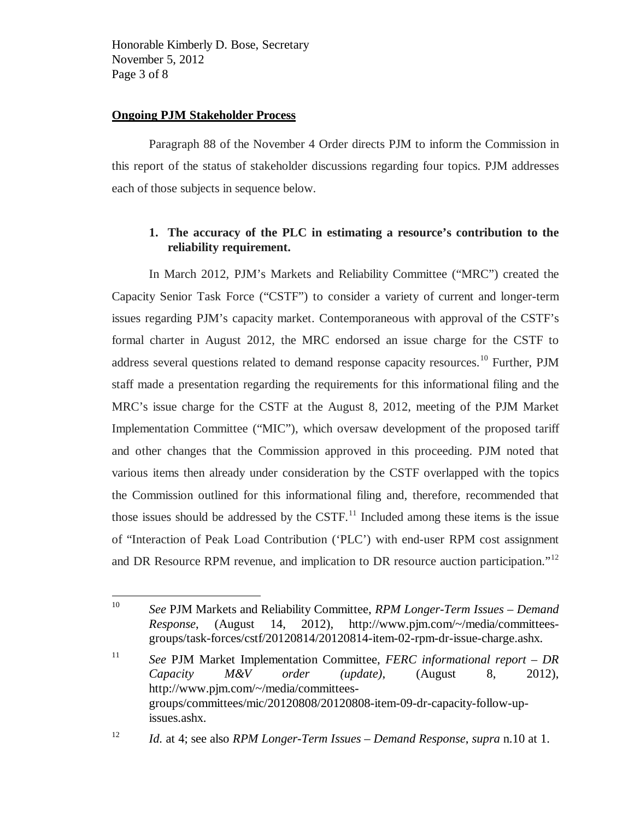Honorable Kimberly D. Bose, Secretary November 5, 2012 Page 3 of 8

#### **Ongoing PJM Stakeholder Process**

Paragraph 88 of the November 4 Order directs PJM to inform the Commission in this report of the status of stakeholder discussions regarding four topics. PJM addresses each of those subjects in sequence below.

## **1. The accuracy of the PLC in estimating a resource's contribution to the reliability requirement.**

In March 2012, PJM's Markets and Reliability Committee ("MRC") created the Capacity Senior Task Force ("CSTF") to consider a variety of current and longer-term issues regarding PJM's capacity market. Contemporaneous with approval of the CSTF's formal charter in August 2012, the MRC endorsed an issue charge for the CSTF to address several questions related to demand response capacity resources.[10](#page-2-0) Further, PJM staff made a presentation regarding the requirements for this informational filing and the MRC's issue charge for the CSTF at the August 8, 2012, meeting of the PJM Market Implementation Committee ("MIC"), which oversaw development of the proposed tariff and other changes that the Commission approved in this proceeding. PJM noted that various items then already under consideration by the CSTF overlapped with the topics the Commission outlined for this informational filing and, therefore, recommended that those issues should be addressed by the CSTF.<sup>[11](#page-2-1)</sup> Included among these items is the issue of "Interaction of Peak Load Contribution ('PLC') with end-user RPM cost assignment and DR Resource RPM revenue, and implication to DR resource auction participation."<sup>[12](#page-2-2)</sup>

<span id="page-2-1"></span>11 *See* PJM Market Implementation Committee, *FERC informational report – DR Capacity M&V order (update)*, (August 8, 2012), http://www.pjm.com/~/media/committeesgroups/committees/mic/20120808/20120808-item-09-dr-capacity-follow-upissues.ashx.

<span id="page-2-0"></span> $10<sup>10</sup>$ 10 *See* PJM Markets and Reliability Committee, *RPM Longer-Term Issues – Demand Response*, (August 14, 2012), http://www.pjm.com/~/media/committeesgroups/task-forces/cstf/20120814/20120814-item-02-rpm-dr-issue-charge.ashx.

<span id="page-2-2"></span><sup>12</sup> *Id.* at 4; see also *RPM Longer-Term Issues – Demand Response*, *supra* n.10 at 1.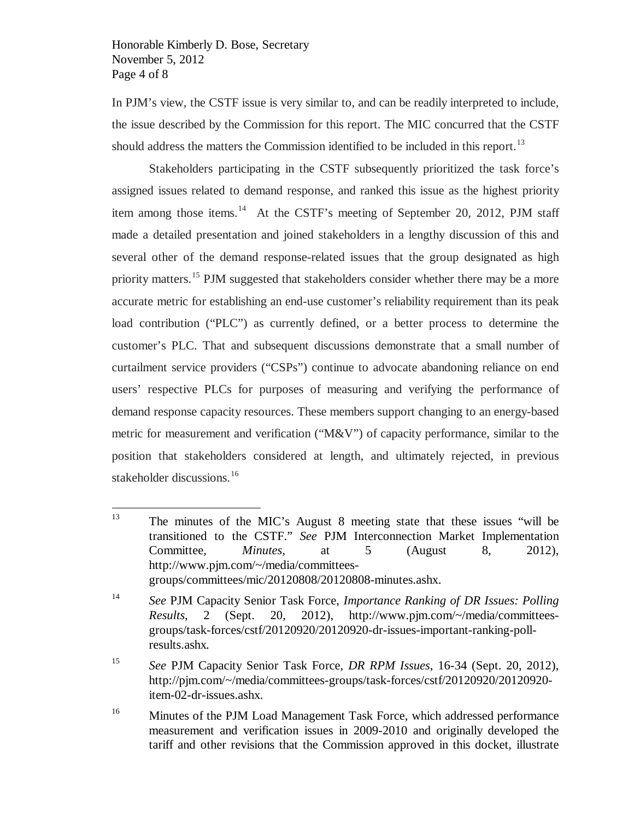Honorable Kimberly D. Bose, Secretary November 5, 2012 Page 4 of 8

In PJM's view, the CSTF issue is very similar to, and can be readily interpreted to include, the issue described by the Commission for this report. The MIC concurred that the CSTF should address the matters the Commission identified to be included in this report.<sup>[13](#page-3-0)</sup>

Stakeholders participating in the CSTF subsequently prioritized the task force's assigned issues related to demand response, and ranked this issue as the highest priority item among those items.<sup>14</sup> At the CSTF's meeting of September 20, 2012, PJM staff made a detailed presentation and joined stakeholders in a lengthy discussion of this and several other of the demand response-related issues that the group designated as high priority matters.<sup>[15](#page-3-2)</sup> PJM suggested that stakeholders consider whether there may be a more accurate metric for establishing an end-use customer's reliability requirement than its peak load contribution ("PLC") as currently defined, or a better process to determine the customer's PLC. That and subsequent discussions demonstrate that a small number of curtailment service providers ("CSPs") continue to advocate abandoning reliance on end users' respective PLCs for purposes of measuring and verifying the performance of demand response capacity resources. These members support changing to an energy-based metric for measurement and verification ("M&V") of capacity performance, similar to the position that stakeholders considered at length, and ultimately rejected, in previous stakeholder discussions.<sup>[16](#page-3-3)</sup>

<span id="page-3-0"></span><sup>13</sup> 13 The minutes of the MIC's August 8 meeting state that these issues "will be transitioned to the CSTF." *See* PJM Interconnection Market Implementation Committee*, Minutes,* at 5 (August 8, 2012), http://www.pjm.com/~/media/committeesgroups/committees/mic/20120808/20120808-minutes.ashx.

<span id="page-3-1"></span><sup>14</sup> *See* PJM Capacity Senior Task Force, *Importance Ranking of DR Issues: Polling Results*, 2 (Sept. 20, 2012), http://www.pjm.com/~/media/committeesgroups/task-forces/cstf/20120920/20120920-dr-issues-important-ranking-pollresults.ashx*.*

<span id="page-3-2"></span><sup>15</sup> *See* PJM Capacity Senior Task Force, *DR RPM Issues*, 16-34 (Sept. 20, 2012), http://pjm.com/~/media/committees-groups/task-forces/cstf/20120920/20120920 item-02-dr-issues.ashx.

<span id="page-3-3"></span><sup>&</sup>lt;sup>16</sup> Minutes of the PJM Load Management Task Force, which addressed performance measurement and verification issues in 2009-2010 and originally developed the tariff and other revisions that the Commission approved in this docket, illustrate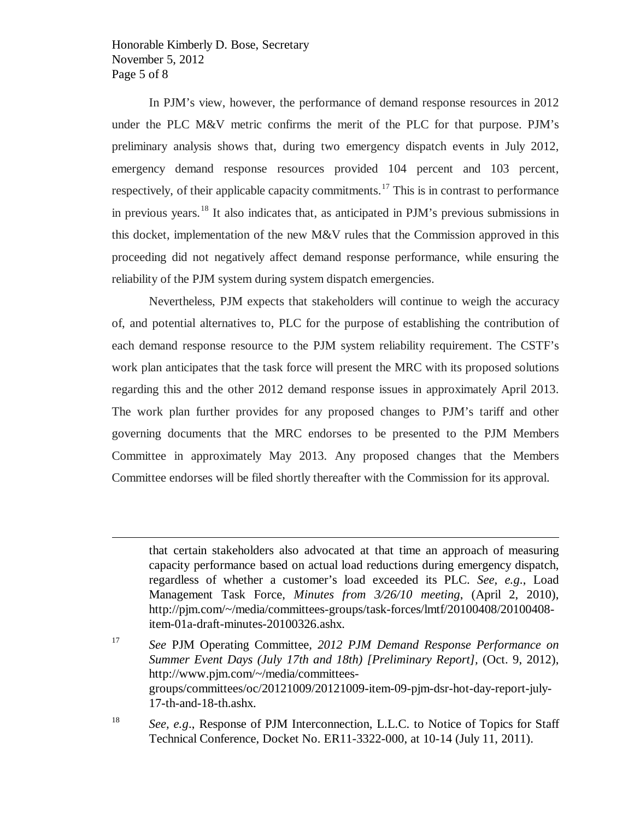Honorable Kimberly D. Bose, Secretary November 5, 2012 Page 5 of 8

 $\overline{a}$ 

In PJM's view, however, the performance of demand response resources in 2012 under the PLC M&V metric confirms the merit of the PLC for that purpose. PJM's preliminary analysis shows that, during two emergency dispatch events in July 2012, emergency demand response resources provided 104 percent and 103 percent, respectively, of their applicable capacity commitments.<sup>[17](#page-4-0)</sup> This is in contrast to performance in previous years.<sup>[18](#page-4-1)</sup> It also indicates that, as anticipated in PJM's previous submissions in this docket, implementation of the new M&V rules that the Commission approved in this proceeding did not negatively affect demand response performance, while ensuring the reliability of the PJM system during system dispatch emergencies.

Nevertheless, PJM expects that stakeholders will continue to weigh the accuracy of, and potential alternatives to, PLC for the purpose of establishing the contribution of each demand response resource to the PJM system reliability requirement. The CSTF's work plan anticipates that the task force will present the MRC with its proposed solutions regarding this and the other 2012 demand response issues in approximately April 2013. The work plan further provides for any proposed changes to PJM's tariff and other governing documents that the MRC endorses to be presented to the PJM Members Committee in approximately May 2013. Any proposed changes that the Members Committee endorses will be filed shortly thereafter with the Commission for its approval.

<span id="page-4-1"></span>18 *See, e.g*., Response of PJM Interconnection, L.L.C. to Notice of Topics for Staff Technical Conference, Docket No. ER11-3322-000, at 10-14 (July 11, 2011).

that certain stakeholders also advocated at that time an approach of measuring capacity performance based on actual load reductions during emergency dispatch, regardless of whether a customer's load exceeded its PLC. *See, e.g*., Load Management Task Force, *Minutes from 3/26/10 meeting*, (April 2, 2010), http://pjm.com/~/media/committees-groups/task-forces/lmtf/20100408/20100408 item-01a-draft-minutes-20100326.ashx.

<span id="page-4-0"></span><sup>17</sup> *See* PJM Operating Committee*, 2012 PJM Demand Response Performance on Summer Event Days (July 17th and 18th) [Preliminary Report], (Oct. 9, 2012),* http://www.pjm.com/~/media/committeesgroups/committees/oc/20121009/20121009-item-09-pjm-dsr-hot-day-report-july-17-th-and-18-th.ashx.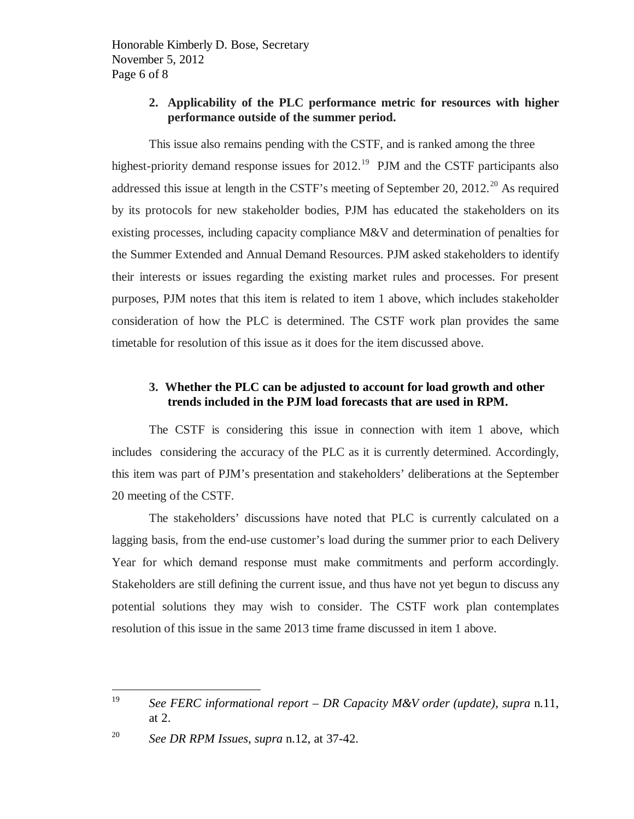Honorable Kimberly D. Bose, Secretary November 5, 2012 Page 6 of 8

### **2. Applicability of the PLC performance metric for resources with higher performance outside of the summer period.**

This issue also remains pending with the CSTF, and is ranked among the three highest-priority demand response issues for  $2012$ .<sup>19</sup> PJM and the CSTF participants also addressed this issue at length in the CSTF's meeting of September [20](#page-5-1), 2012.<sup>20</sup> As required by its protocols for new stakeholder bodies, PJM has educated the stakeholders on its existing processes, including capacity compliance M&V and determination of penalties for the Summer Extended and Annual Demand Resources. PJM asked stakeholders to identify their interests or issues regarding the existing market rules and processes. For present purposes, PJM notes that this item is related to item 1 above, which includes stakeholder consideration of how the PLC is determined. The CSTF work plan provides the same timetable for resolution of this issue as it does for the item discussed above.

## **3. Whether the PLC can be adjusted to account for load growth and other trends included in the PJM load forecasts that are used in RPM.**

The CSTF is considering this issue in connection with item 1 above, which includes considering the accuracy of the PLC as it is currently determined. Accordingly, this item was part of PJM's presentation and stakeholders' deliberations at the September 20 meeting of the CSTF.

The stakeholders' discussions have noted that PLC is currently calculated on a lagging basis, from the end-use customer's load during the summer prior to each Delivery Year for which demand response must make commitments and perform accordingly. Stakeholders are still defining the current issue, and thus have not yet begun to discuss any potential solutions they may wish to consider. The CSTF work plan contemplates resolution of this issue in the same 2013 time frame discussed in item 1 above.

<span id="page-5-0"></span><sup>19</sup> 19 *See FERC informational report – DR Capacity M&V order (update)*, *supra* n.11, at 2.

<span id="page-5-1"></span><sup>20</sup> *See DR RPM Issues*, *supra* n.12, at 37-42.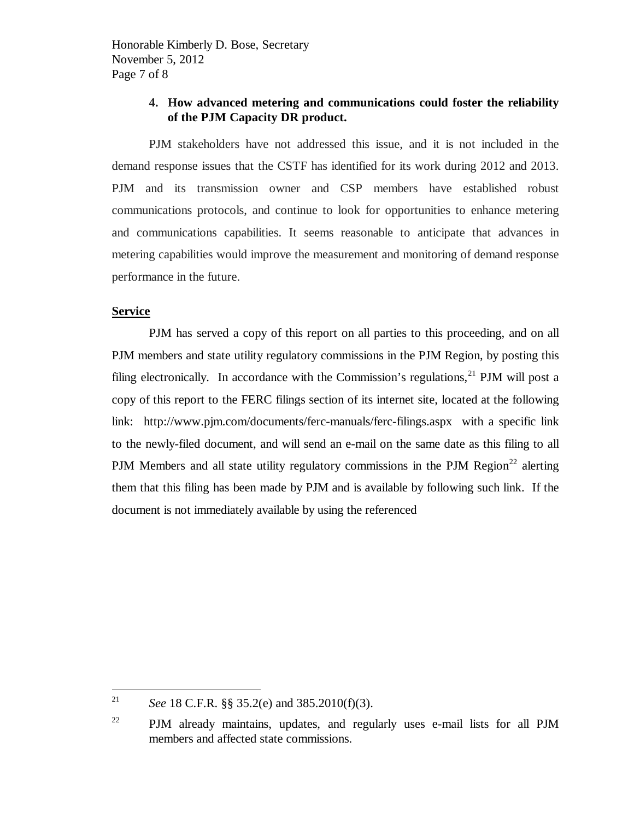## **4. How advanced metering and communications could foster the reliability of the PJM Capacity DR product.**

PJM stakeholders have not addressed this issue, and it is not included in the demand response issues that the CSTF has identified for its work during 2012 and 2013. PJM and its transmission owner and CSP members have established robust communications protocols, and continue to look for opportunities to enhance metering and communications capabilities. It seems reasonable to anticipate that advances in metering capabilities would improve the measurement and monitoring of demand response performance in the future.

#### **Service**

PJM has served a copy of this report on all parties to this proceeding, and on all PJM members and state utility regulatory commissions in the PJM Region, by posting this filing electronically. In accordance with the Commission's regulations,  $21$  PJM will post a copy of this report to the FERC filings section of its internet site, located at the following link: http://www.pjm.com/documents/ferc-manuals/ferc-filings.aspx with a specific link to the newly-filed document, and will send an e-mail on the same date as this filing to all PJM Members and all state utility regulatory commissions in the PJM Region<sup>[22](#page-6-1)</sup> alerting them that this filing has been made by PJM and is available by following such link. If the document is not immediately available by using the referenced

<span id="page-6-0"></span><sup>21</sup> <sup>21</sup> *See* 18 C.F.R. §§ 35.2(e) and 385.2010(f)(3).

<span id="page-6-1"></span><sup>&</sup>lt;sup>22</sup> PJM already maintains, updates, and regularly uses e-mail lists for all PJM members and affected state commissions.